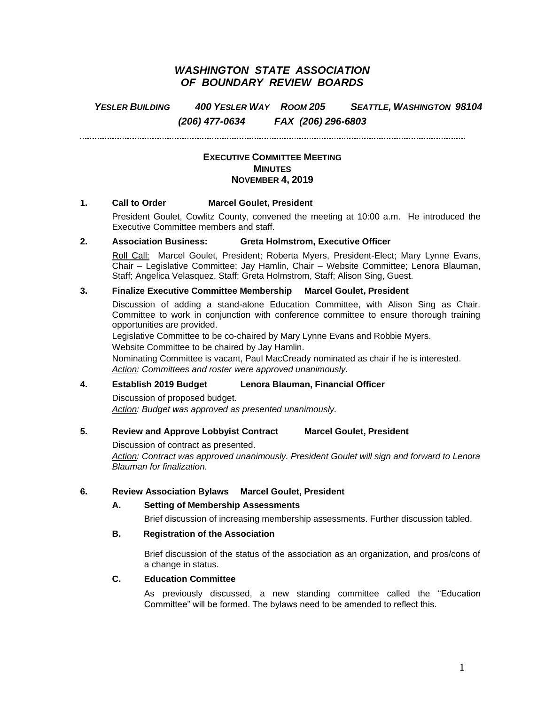# *WASHINGTON STATE ASSOCIATION OF BOUNDARY REVIEW BOARDS*

*YESLER BUILDING 400 YESLER WAY ROOM 205 SEATTLE, WASHINGTON 98104 (206) 477-0634 FAX (206) 296-6803*

. . . . . . . . . . . . . . . . . . . .

### **EXECUTIVE COMMITTEE MEETING MINUTES NOVEMBER 4, 2019**

#### **1. Call to Order Marcel Goulet, President**

President Goulet, Cowlitz County, convened the meeting at 10:00 a.m. He introduced the Executive Committee members and staff.

#### **2. Association Business: Greta Holmstrom, Executive Officer**

Roll Call: Marcel Goulet, President; Roberta Myers, President-Elect; Mary Lynne Evans, Chair – Legislative Committee; Jay Hamlin, Chair – Website Committee; Lenora Blauman, Staff; Angelica Velasquez, Staff; Greta Holmstrom, Staff; Alison Sing, Guest.

## **3. Finalize Executive Committee Membership Marcel Goulet, President**

Discussion of adding a stand-alone Education Committee, with Alison Sing as Chair. Committee to work in conjunction with conference committee to ensure thorough training opportunities are provided.

Legislative Committee to be co-chaired by Mary Lynne Evans and Robbie Myers.

Website Committee to be chaired by Jay Hamlin.

Nominating Committee is vacant, Paul MacCready nominated as chair if he is interested. *Action: Committees and roster were approved unanimously.* 

#### **4. Establish 2019 Budget Lenora Blauman, Financial Officer**

Discussion of proposed budget. *Action: Budget was approved as presented unanimously.*

### **5. Review and Approve Lobbyist Contract Marcel Goulet, President**

Discussion of contract as presented.

*Action: Contract was approved unanimously. President Goulet will sign and forward to Lenora Blauman for finalization.*

#### **6. Review Association Bylaws Marcel Goulet, President**

#### **A. Setting of Membership Assessments**

Brief discussion of increasing membership assessments. Further discussion tabled.

#### **B. Registration of the Association**

Brief discussion of the status of the association as an organization, and pros/cons of a change in status.

### **C. Education Committee**

As previously discussed, a new standing committee called the "Education Committee" will be formed. The bylaws need to be amended to reflect this.